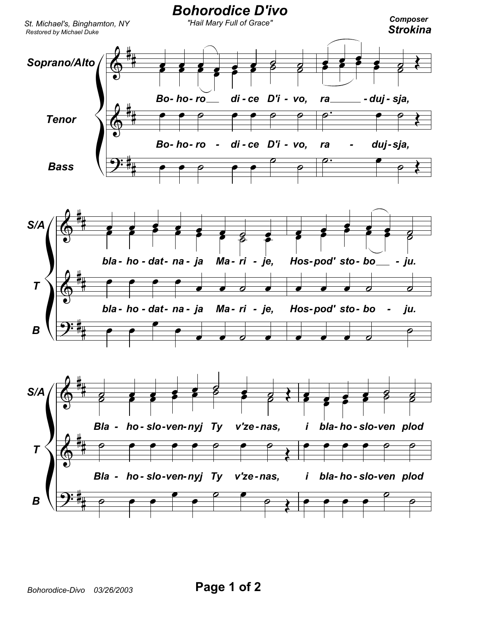